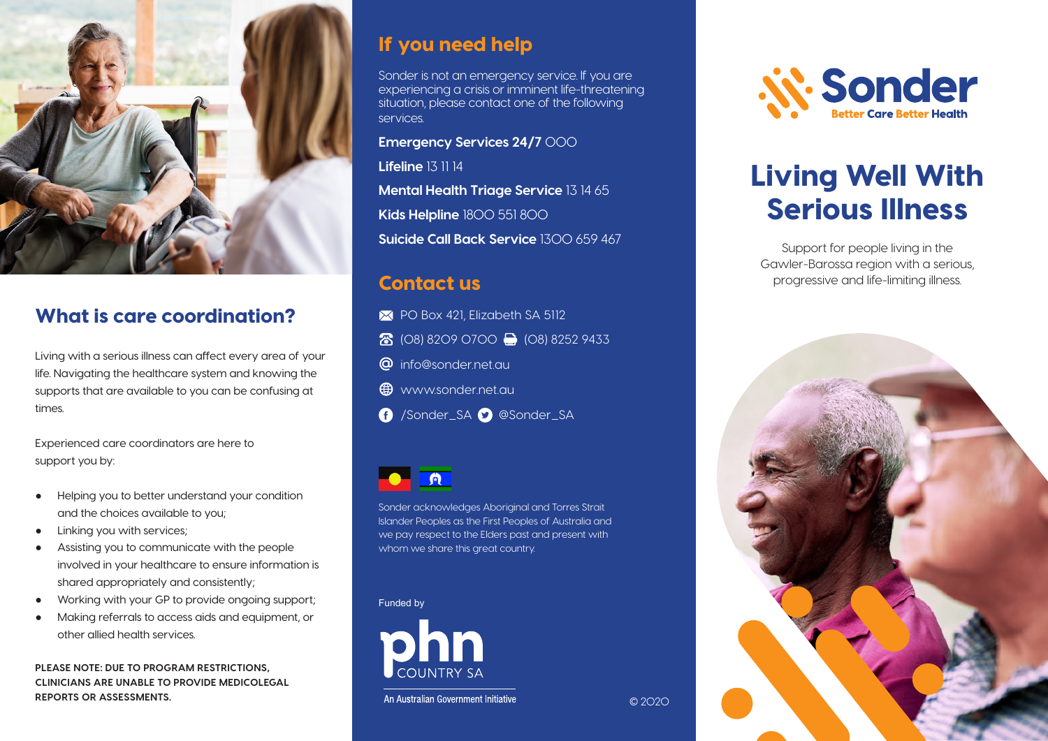

# What is care coordination?

Living with a serious illness can affect every area of your life. Navigating the healthcare system and knowing the supports that are available to you can be confusing at times.

Experienced care coordinators are here to support you by:

- Helping you to better understand your condition and the choices available to you;
- Linking you with services;
- Assisting you to communicate with the people involved in your healthcare to ensure information is shared appropriately and consistently;
- Working with your GP to provide ongoing support;
- Making referrals to access aids and equipment, or other allied health services.

**PLEASE NOTE: DUE TO PROGRAM RESTRICTIONS, CLINICIANS ARE UNABLE TO PROVIDE MEDICOLEGAL REPORTS OR ASSESSMENTS.**

# If you need help

Sonder is not an emergency service. If you are experiencing a crisis or imminent life-threatening situation, please contact one of the following services.

#### **Emergency Services 24/7** 000

**Lifeline** 13 11 14 **Mental Health Triage Service** 13 14 65 **Kids Helpline** 1800 551 800 **Suicide Call Back Service** 1300 659 467

# Contact us

- PO Box 421, Elizabeth SA 5112
- 8 (08) 8209 0700 (08) 8252 9433
- **@** info@sonder.net.au
- $\bigoplus$  www.sonder.net.au
- /Sonder\_SA @Sonder\_SA



Sonder acknowledges Aboriginal and Torres Strait Islander Peoples as the First Peoples of Australia and we pay respect to the Elders past and present with whom we share this great country.

© 2020

#### Funded by



An Australian Government Initiative



# Living Well With Serious Illness

Support for people living in the Gawler-Barossa region with a serious, progressive and life-limiting illness.